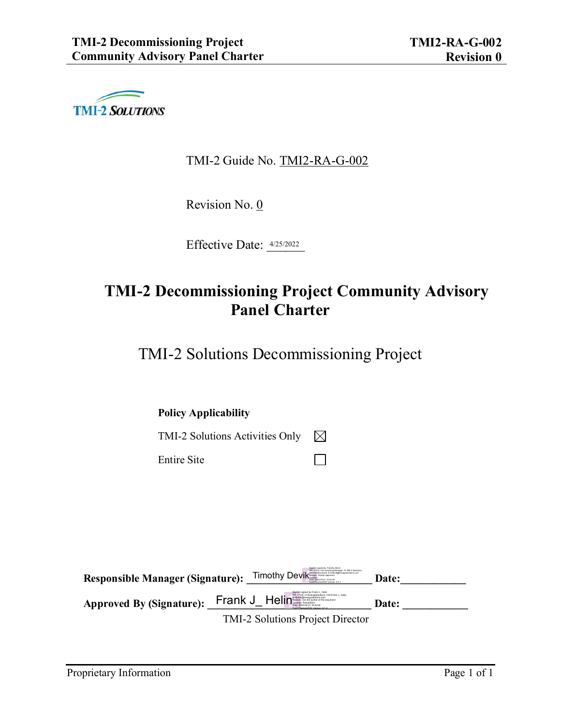

TMI-2 Guide No. TMI2-RA-G-002

Revision No. 0

Effective Date: 4/25/2022

# **TMI-2 Decommissioning Project Community Advisory Panel Charter**

П

TMI-2 Solutions Decommissioning Project

**Policy Applicability**

TMI-2 Solutions Activities Only  $\boxtimes$ 

Entire Site

Responsible Manager (Signature): Timothy Devik Responsible Manager (Signature): The Date: **Approved By (Signature): \_\_\_\_\_\_\_\_\_\_\_\_\_\_\_\_\_\_\_\_\_\_\_\_\_\_\_\_\_\_ Date: \_\_\_\_\_\_\_\_\_\_\_\_** TMI-2 Solutions Project Director Frank J\_ Heline **State Composition** Of Fig. 1, Helin, 2017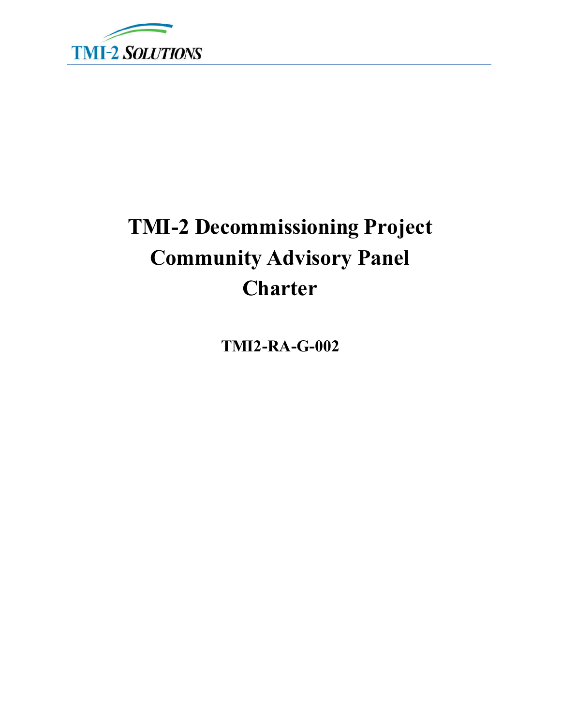

# **TMI-2 Decommissioning Project Community Advisory Panel Charter**

**TMI2-RA-G-002**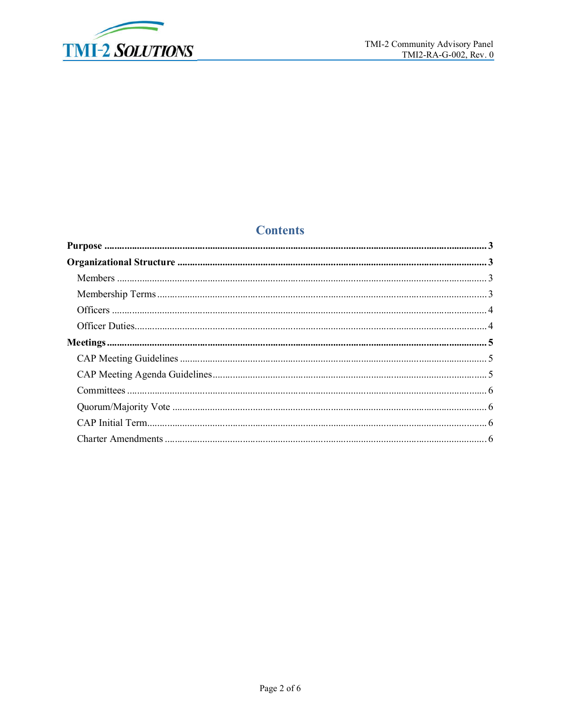

## **Contents**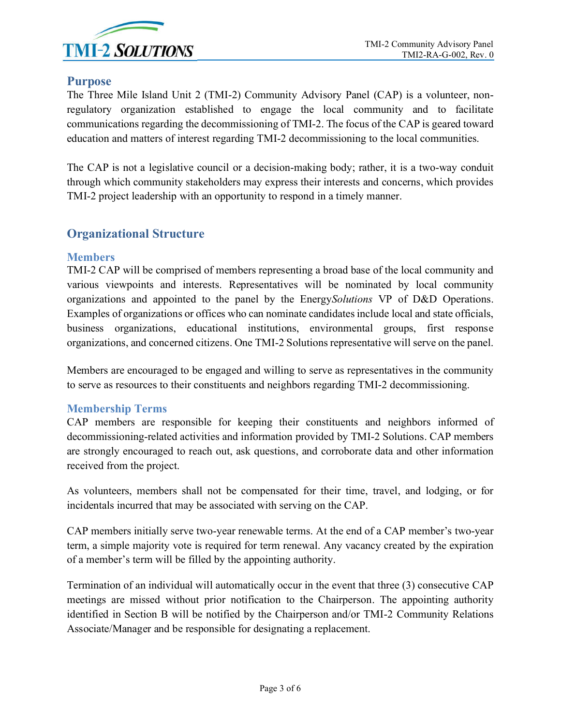

#### **Purpose**

The Three Mile Island Unit 2 (TMI-2) Community Advisory Panel (CAP) is a volunteer, nonregulatory organization established to engage the local community and to facilitate communications regarding the decommissioning of TMI-2. The focus of the CAP is geared toward education and matters of interest regarding TMI-2 decommissioning to the local communities.

The CAP is not a legislative council or a decision-making body; rather, it is a two-way conduit through which community stakeholders may express their interests and concerns, which provides TMI-2 project leadership with an opportunity to respond in a timely manner.

#### **Organizational Structure**

#### **Members**

TMI-2 CAP will be comprised of members representing a broad base of the local community and various viewpoints and interests. Representatives will be nominated by local community organizations and appointed to the panel by the Energy*Solutions* VP of D&D Operations. Examples of organizations or offices who can nominate candidates include local and state officials, business organizations, educational institutions, environmental groups, first response organizations, and concerned citizens. One TMI-2 Solutions representative will serve on the panel.

Members are encouraged to be engaged and willing to serve as representatives in the community to serve as resources to their constituents and neighbors regarding TMI-2 decommissioning.

#### **Membership Terms**

CAP members are responsible for keeping their constituents and neighbors informed of decommissioning-related activities and information provided by TMI-2 Solutions. CAP members are strongly encouraged to reach out, ask questions, and corroborate data and other information received from the project.

As volunteers, members shall not be compensated for their time, travel, and lodging, or for incidentals incurred that may be associated with serving on the CAP.

CAP members initially serve two-year renewable terms. At the end of a CAP member's two-year term, a simple majority vote is required for term renewal. Any vacancy created by the expiration of a member's term will be filled by the appointing authority.

Termination of an individual will automatically occur in the event that three (3) consecutive CAP meetings are missed without prior notification to the Chairperson. The appointing authority identified in Section B will be notified by the Chairperson and/or TMI-2 Community Relations Associate/Manager and be responsible for designating a replacement.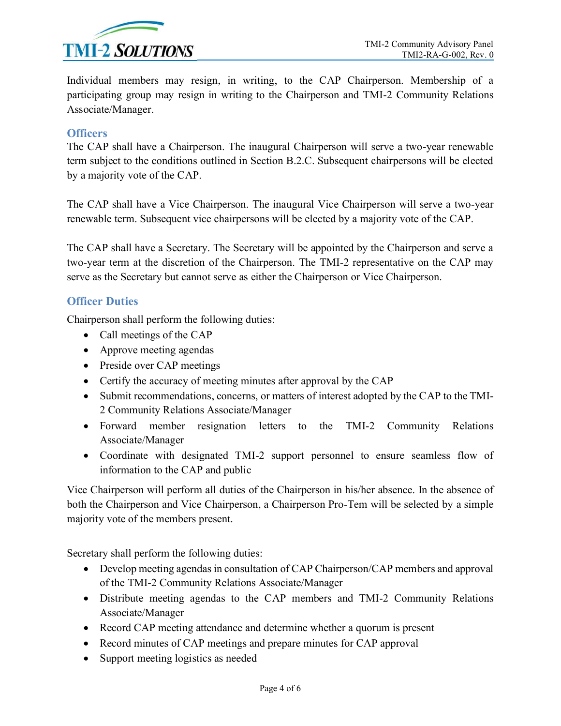

Individual members may resign, in writing, to the CAP Chairperson. Membership of a participating group may resign in writing to the Chairperson and TMI-2 Community Relations Associate/Manager.

#### **Officers**

The CAP shall have a Chairperson. The inaugural Chairperson will serve a two-year renewable term subject to the conditions outlined in Section B.2.C. Subsequent chairpersons will be elected by a majority vote of the CAP.

The CAP shall have a Vice Chairperson. The inaugural Vice Chairperson will serve a two-year renewable term. Subsequent vice chairpersons will be elected by a majority vote of the CAP.

The CAP shall have a Secretary. The Secretary will be appointed by the Chairperson and serve a two-year term at the discretion of the Chairperson. The TMI-2 representative on the CAP may serve as the Secretary but cannot serve as either the Chairperson or Vice Chairperson.

#### **Officer Duties**

Chairperson shall perform the following duties:

- Call meetings of the CAP
- Approve meeting agendas
- Preside over CAP meetings
- Certify the accuracy of meeting minutes after approval by the CAP
- Submit recommendations, concerns, or matters of interest adopted by the CAP to the TMI-2 Community Relations Associate/Manager
- Forward member resignation letters to the TMI-2 Community Relations Associate/Manager
- Coordinate with designated TMI-2 support personnel to ensure seamless flow of information to the CAP and public

Vice Chairperson will perform all duties of the Chairperson in his/her absence. In the absence of both the Chairperson and Vice Chairperson, a Chairperson Pro-Tem will be selected by a simple majority vote of the members present.

Secretary shall perform the following duties:

- Develop meeting agendas in consultation of CAP Chairperson/CAP members and approval of the TMI-2 Community Relations Associate/Manager
- Distribute meeting agendas to the CAP members and TMI-2 Community Relations Associate/Manager
- Record CAP meeting attendance and determine whether a quorum is present
- Record minutes of CAP meetings and prepare minutes for CAP approval
- Support meeting logistics as needed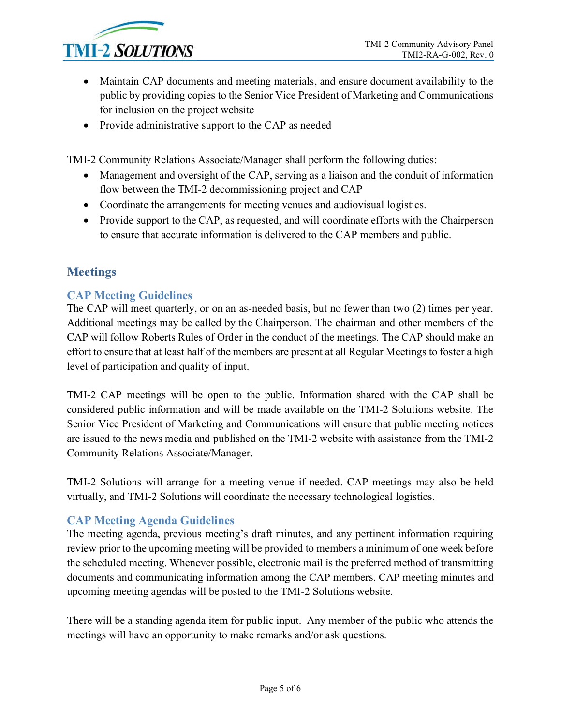

- Maintain CAP documents and meeting materials, and ensure document availability to the public by providing copies to the Senior Vice President of Marketing and Communications for inclusion on the project website
- Provide administrative support to the CAP as needed

TMI-2 Community Relations Associate/Manager shall perform the following duties:

- Management and oversight of the CAP, serving as a liaison and the conduit of information flow between the TMI-2 decommissioning project and CAP
- Coordinate the arrangements for meeting venues and audiovisual logistics.
- Provide support to the CAP, as requested, and will coordinate efforts with the Chairperson to ensure that accurate information is delivered to the CAP members and public.

### **Meetings**

#### **CAP Meeting Guidelines**

The CAP will meet quarterly, or on an as-needed basis, but no fewer than two (2) times per year. Additional meetings may be called by the Chairperson. The chairman and other members of the CAP will follow Roberts Rules of Order in the conduct of the meetings. The CAP should make an effort to ensure that at least half of the members are present at all Regular Meetings to foster a high level of participation and quality of input.

TMI-2 CAP meetings will be open to the public. Information shared with the CAP shall be considered public information and will be made available on the TMI-2 Solutions website. The Senior Vice President of Marketing and Communications will ensure that public meeting notices are issued to the news media and published on the TMI-2 website with assistance from the TMI-2 Community Relations Associate/Manager.

TMI-2 Solutions will arrange for a meeting venue if needed. CAP meetings may also be held virtually, and TMI-2 Solutions will coordinate the necessary technological logistics.

#### **CAP Meeting Agenda Guidelines**

The meeting agenda, previous meeting's draft minutes, and any pertinent information requiring review prior to the upcoming meeting will be provided to members a minimum of one week before the scheduled meeting. Whenever possible, electronic mail is the preferred method of transmitting documents and communicating information among the CAP members. CAP meeting minutes and upcoming meeting agendas will be posted to the TMI-2 Solutions website.

There will be a standing agenda item for public input. Any member of the public who attends the meetings will have an opportunity to make remarks and/or ask questions.